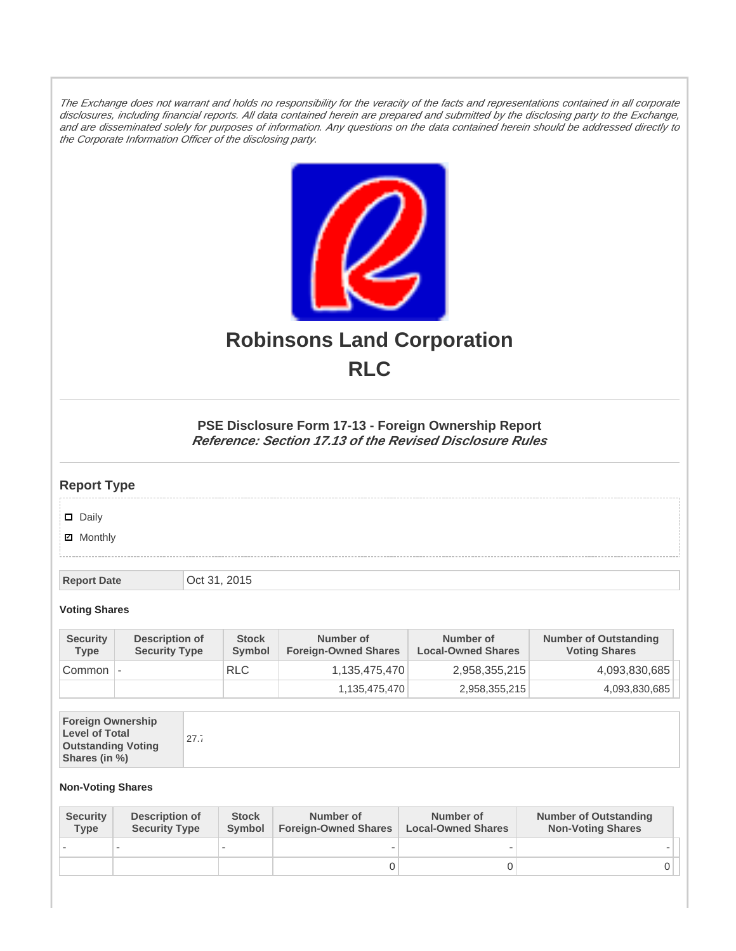The Exchange does not warrant and holds no responsibility for the veracity of the facts and representations contained in all corporate disclosures, including financial reports. All data contained herein are prepared and submitted by the disclosing party to the Exchange, and are disseminated solely for purposes of information. Any questions on the data contained herein should be addressed directly to the Corporate Information Officer of the disclosing party.



# **Robinsons Land Corporation RLC**

## **PSE Disclosure Form 17-13 - Foreign Ownership Report Reference: Section 17.13 of the Revised Disclosure Rules**

## **Report Type**

Daily

**Ø** Monthly

**Report Date Oct 31, 2015** 

#### **Voting Shares**

| <b>Security</b><br><b>Type</b> | Description of<br><b>Security Type</b> | <b>Stock</b><br><b>Symbol</b> | Number of<br><b>Foreign-Owned Shares</b> | Number of<br><b>Local-Owned Shares</b> | <b>Number of Outstanding</b><br><b>Voting Shares</b> |
|--------------------------------|----------------------------------------|-------------------------------|------------------------------------------|----------------------------------------|------------------------------------------------------|
| Common                         | $\overline{\phantom{a}}$               | <b>RLC</b>                    | 1,135,475,470                            | 2,958,355,215                          | 4,093,830,685                                        |
|                                |                                        |                               | 1,135,475,470                            | 2,958,355,215                          | 4,093,830,685                                        |

| <b>Foreign Ownership</b><br><b>Level of Total</b><br><b>Outstanding Voting</b><br>Shares (in %) | 27.7 |
|-------------------------------------------------------------------------------------------------|------|
|-------------------------------------------------------------------------------------------------|------|

### **Non-Voting Shares**

| <b>Security</b><br><b>Type</b> | Description of<br><b>Security Type</b> | <b>Stock</b><br>Symbol | Number of<br><b>Foreign-Owned Shares</b> | Number of<br><b>Local-Owned Shares</b> | <b>Number of Outstanding</b><br><b>Non-Voting Shares</b> |
|--------------------------------|----------------------------------------|------------------------|------------------------------------------|----------------------------------------|----------------------------------------------------------|
|                                |                                        |                        |                                          |                                        |                                                          |
|                                |                                        |                        |                                          |                                        |                                                          |